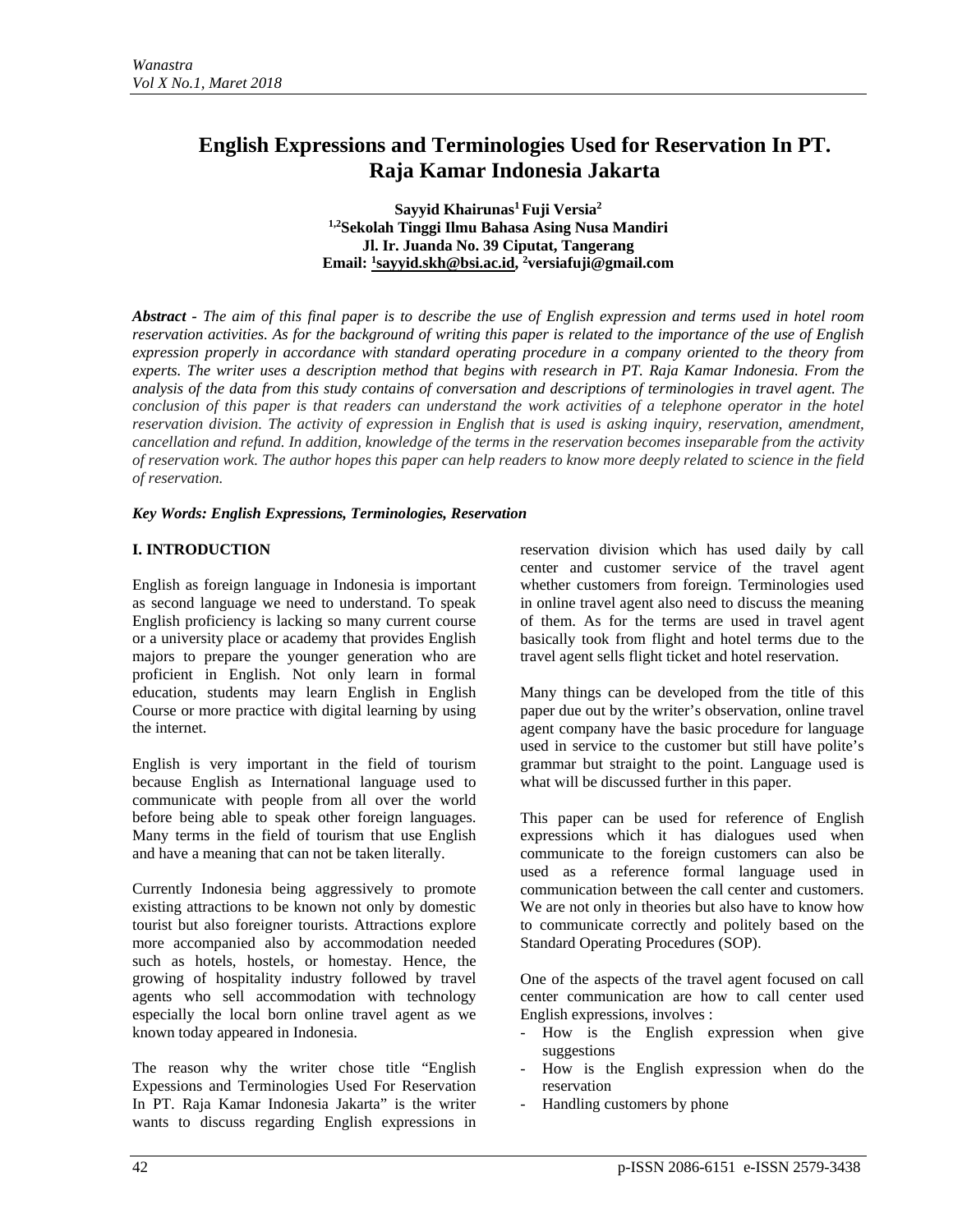# **English Expressions and Terminologies Used for Reservation In PT. Raja Kamar Indonesia Jakarta**

Sayyid Khairunas<sup>1</sup> Fuji Versia<sup>2</sup> **1,2Sekolah Tinggi Ilmu Bahasa Asing Nusa Mandiri Jl. Ir. Juanda No. 39 Ciputat, Tangerang Email: 1 [sayyid.skh@bsi.ac.id,](mailto:1sayyid.skh@bsi.ac.id) <sup>2</sup> versiafuji@gmail.com**

*Abstract - The aim of this final paper is to describe the use of English expression and terms used in hotel room reservation activities. As for the background of writing this paper is related to the importance of the use of English expression properly in accordance with standard operating procedure in a company oriented to the theory from experts. The writer uses a description method that begins with research in PT. Raja Kamar Indonesia. From the analysis of the data from this study contains of conversation and descriptions of terminologies in travel agent. The conclusion of this paper is that readers can understand the work activities of a telephone operator in the hotel reservation division. The activity of expression in English that is used is asking inquiry, reservation, amendment, cancellation and refund. In addition, knowledge of the terms in the reservation becomes inseparable from the activity of reservation work. The author hopes this paper can help readers to know more deeply related to science in the field of reservation.*

## *Key Words: English Expressions, Terminologies, Reservation*

# **I. INTRODUCTION**

English as foreign language in Indonesia is important as second language we need to understand. To speak English proficiency is lacking so many current course or a university place or academy that provides English majors to prepare the younger generation who are proficient in English. Not only learn in formal education, students may learn English in English Course or more practice with digital learning by using the internet.

English is very important in the field of tourism because English as International language used to communicate with people from all over the world before being able to speak other foreign languages. Many terms in the field of tourism that use English and have a meaning that can not be taken literally.

Currently Indonesia being aggressively to promote existing attractions to be known not only by domestic tourist but also foreigner tourists. Attractions explore more accompanied also by accommodation needed such as hotels, hostels, or homestay. Hence, the growing of hospitality industry followed by travel agents who sell accommodation with technology especially the local born online travel agent as we known today appeared in Indonesia.

The reason why the writer chose title "English Expessions and Terminologies Used For Reservation In PT. Raja Kamar Indonesia Jakarta" is the writer wants to discuss regarding English expressions in

reservation division which has used daily by call center and customer service of the travel agent whether customers from foreign. Terminologies used in online travel agent also need to discuss the meaning of them. As for the terms are used in travel agent basically took from flight and hotel terms due to the travel agent sells flight ticket and hotel reservation.

Many things can be developed from the title of this paper due out by the writer's observation, online travel agent company have the basic procedure for language used in service to the customer but still have polite's grammar but straight to the point. Language used is what will be discussed further in this paper.

This paper can be used for reference of English expressions which it has dialogues used when communicate to the foreign customers can also be used as a reference formal language used in communication between the call center and customers. We are not only in theories but also have to know how to communicate correctly and politely based on the Standard Operating Procedures (SOP).

One of the aspects of the travel agent focused on call center communication are how to call center used English expressions, involves :

- How is the English expression when give suggestions
- How is the English expression when do the reservation
- Handling customers by phone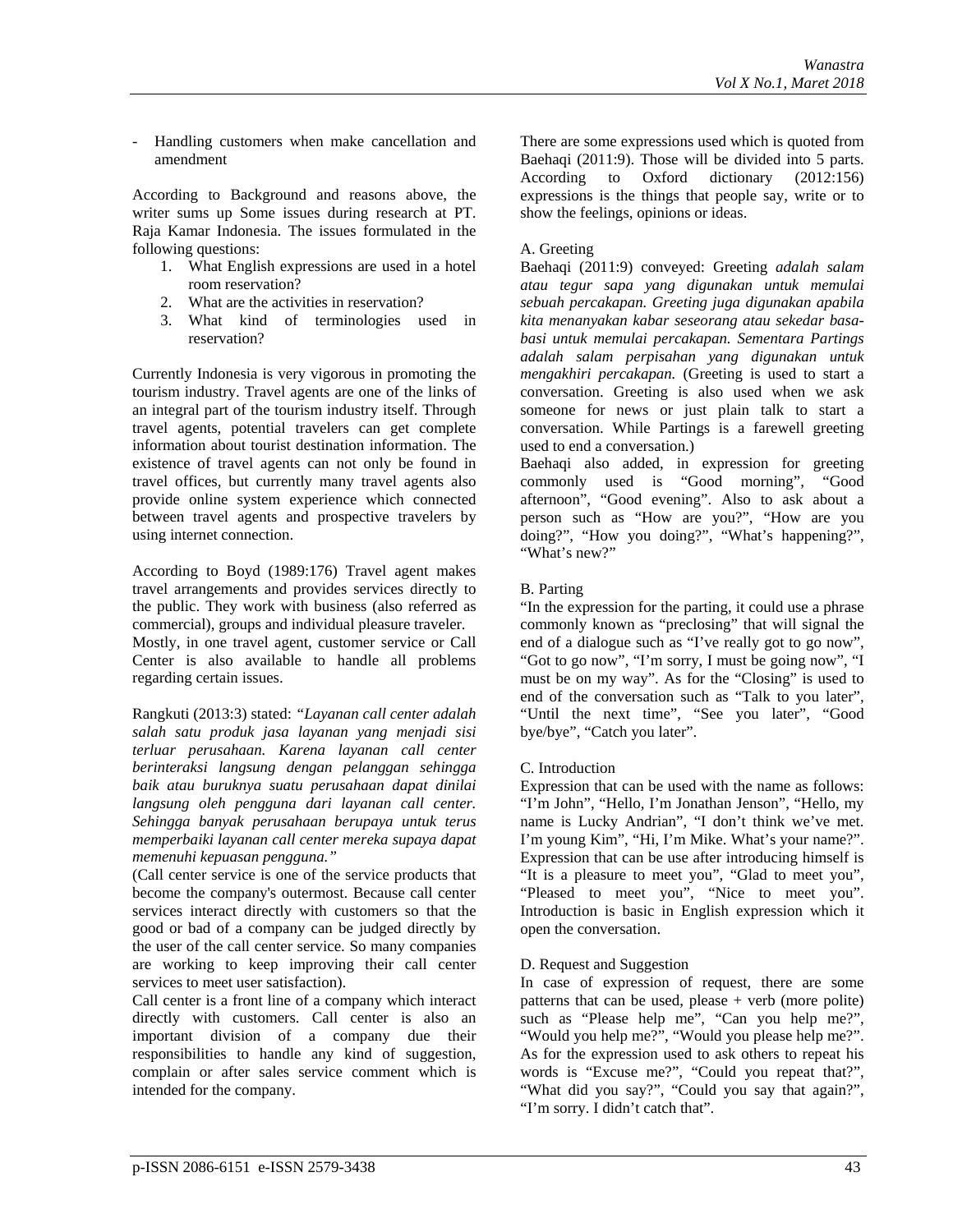- Handling customers when make cancellation and amendment

According to Background and reasons above, the writer sums up Some issues during research at PT. Raja Kamar Indonesia. The issues formulated in the following questions:

- 1. What English expressions are used in a hotel room reservation?
- 2. What are the activities in reservation?
- 3. What kind of terminologies used in reservation?

Currently Indonesia is very vigorous in promoting the tourism industry. Travel agents are one of the links of an integral part of the tourism industry itself. Through travel agents, potential travelers can get complete information about tourist destination information. The existence of travel agents can not only be found in travel offices, but currently many travel agents also provide online system experience which connected between travel agents and prospective travelers by using internet connection.

According to Boyd (1989:176) Travel agent makes travel arrangements and provides services directly to the public. They work with business (also referred as commercial), groups and individual pleasure traveler. Mostly, in one travel agent, customer service or Call Center is also available to handle all problems

regarding certain issues.

Rangkuti (2013:3) stated: *"Layanan call center adalah salah satu produk jasa layanan yang menjadi sisi terluar perusahaan. Karena layanan call center berinteraksi langsung dengan pelanggan sehingga baik atau buruknya suatu perusahaan dapat dinilai langsung oleh pengguna dari layanan call center. Sehingga banyak perusahaan berupaya untuk terus memperbaiki layanan call center mereka supaya dapat memenuhi kepuasan pengguna."*

(Call center service is one of the service products that become the company's outermost. Because call center services interact directly with customers so that the good or bad of a company can be judged directly by the user of the call center service. So many companies are working to keep improving their call center services to meet user satisfaction).

Call center is a front line of a company which interact directly with customers. Call center is also an important division of a company due their responsibilities to handle any kind of suggestion, complain or after sales service comment which is intended for the company.

There are some expressions used which is quoted from Baehaqi (2011:9). Those will be divided into 5 parts. According to Oxford dictionary (2012:156) expressions is the things that people say, write or to show the feelings, opinions or ideas.

# A. Greeting

Baehaqi (2011:9) conveyed: Greeting *adalah salam atau tegur sapa yang digunakan untuk memulai sebuah percakapan. Greeting juga digunakan apabila kita menanyakan kabar seseorang atau sekedar basabasi untuk memulai percakapan. Sementara Partings adalah salam perpisahan yang digunakan untuk mengakhiri percakapan.* (Greeting is used to start a conversation. Greeting is also used when we ask someone for news or just plain talk to start a conversation. While Partings is a farewell greeting used to end a conversation.)

Baehaqi also added, in expression for greeting commonly used is "Good morning", "Good afternoon", "Good evening". Also to ask about a person such as "How are you?", "How are you doing?", "How you doing?", "What's happening?", "What's new?"

# B. Parting

"In the expression for the parting, it could use a phrase commonly known as "preclosing" that will signal the end of a dialogue such as "I've really got to go now", "Got to go now", "I'm sorry, I must be going now", "I must be on my way". As for the "Closing" is used to end of the conversation such as "Talk to you later", "Until the next time", "See you later", "Good bye/bye", "Catch you later".

# C. Introduction

Expression that can be used with the name as follows: "I'm John", "Hello, I'm Jonathan Jenson", "Hello, my name is Lucky Andrian", "I don't think we've met. I'm young Kim", "Hi, I'm Mike. What's your name?". Expression that can be use after introducing himself is "It is a pleasure to meet you", "Glad to meet you", "Pleased to meet you", "Nice to meet you". Introduction is basic in English expression which it open the conversation.

#### D. Request and Suggestion

In case of expression of request, there are some patterns that can be used, please + verb (more polite) such as "Please help me", "Can you help me?", "Would you help me?", "Would you please help me?". As for the expression used to ask others to repeat his words is "Excuse me?", "Could you repeat that?", "What did you say?", "Could you say that again?", "I'm sorry. I didn't catch that".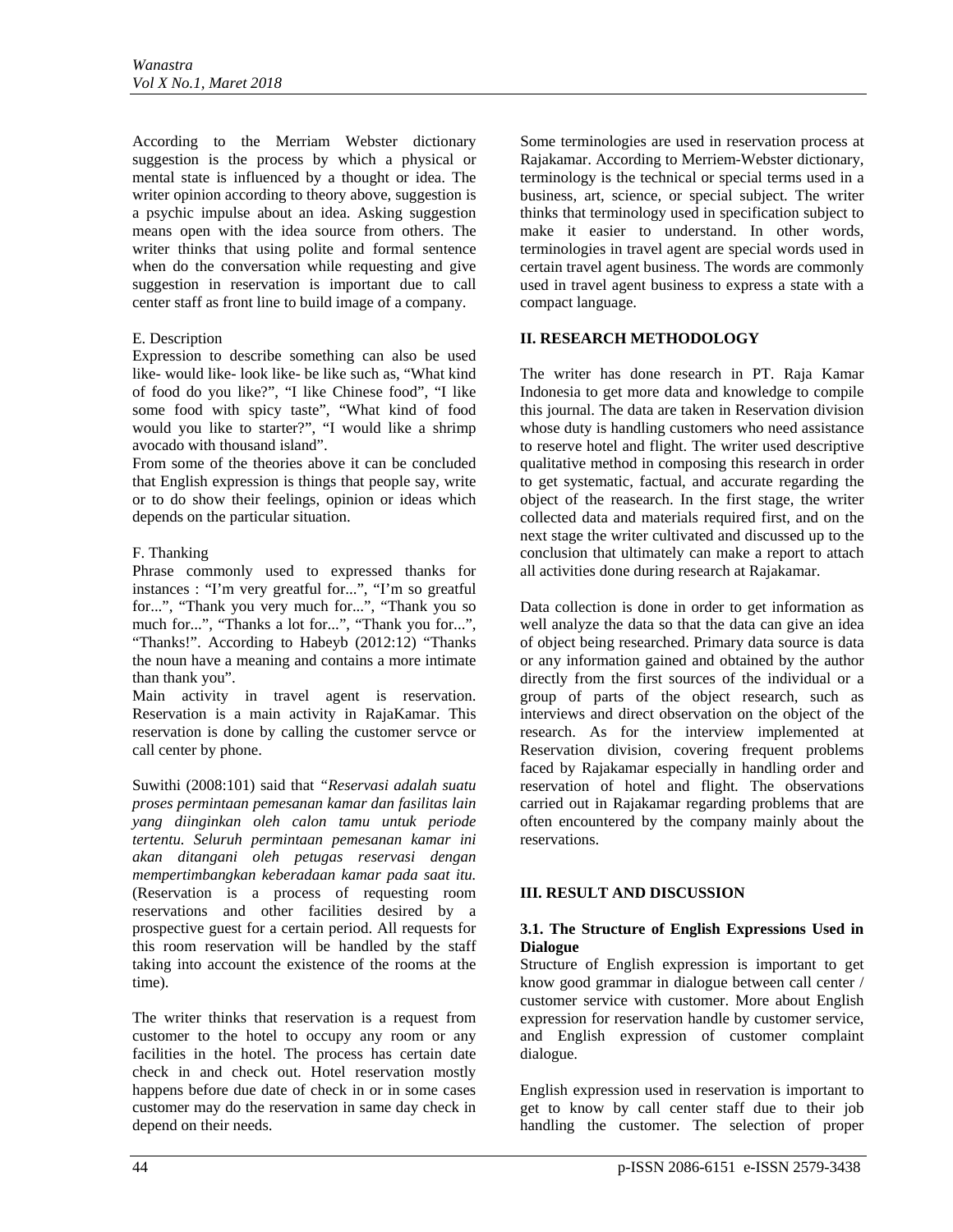According to the Merriam Webster dictionary suggestion is the process by which a physical or mental state is influenced by a thought or idea. The writer opinion according to theory above, suggestion is a psychic impulse about an idea. Asking suggestion means open with the idea source from others. The writer thinks that using polite and formal sentence when do the conversation while requesting and give suggestion in reservation is important due to call center staff as front line to build image of a company.

# E. Description

Expression to describe something can also be used like- would like- look like- be like such as, "What kind of food do you like?", "I like Chinese food", "I like some food with spicy taste", "What kind of food would you like to starter?", "I would like a shrimp avocado with thousand island".

From some of the theories above it can be concluded that English expression is things that people say, write or to do show their feelings, opinion or ideas which depends on the particular situation.

## F. Thanking

Phrase commonly used to expressed thanks for instances : "I'm very greatful for...", "I'm so greatful for...", "Thank you very much for...", "Thank you so much for...", "Thanks a lot for...", "Thank you for...", "Thanks!". According to Habeyb (2012:12) "Thanks the noun have a meaning and contains a more intimate than thank you".

Main activity in travel agent is reservation. Reservation is a main activity in RajaKamar. This reservation is done by calling the customer servce or call center by phone.

Suwithi (2008:101) said that *"Reservasi adalah suatu proses permintaan pemesanan kamar dan fasilitas lain yang diinginkan oleh calon tamu untuk periode tertentu. Seluruh permintaan pemesanan kamar ini akan ditangani oleh petugas reservasi dengan mempertimbangkan keberadaan kamar pada saat itu.* (Reservation is a process of requesting room reservations and other facilities desired by a prospective guest for a certain period. All requests for this room reservation will be handled by the staff taking into account the existence of the rooms at the time).

The writer thinks that reservation is a request from customer to the hotel to occupy any room or any facilities in the hotel. The process has certain date check in and check out. Hotel reservation mostly happens before due date of check in or in some cases customer may do the reservation in same day check in depend on their needs.

Some terminologies are used in reservation process at Rajakamar. According to Merriem-Webster dictionary, terminology is the technical or special terms used in a business, art, science, or special subject. The writer thinks that terminology used in specification subject to make it easier to understand. In other words, terminologies in travel agent are special words used in certain travel agent business. The words are commonly used in travel agent business to express a state with a compact language.

## **II. RESEARCH METHODOLOGY**

The writer has done research in PT. Raja Kamar Indonesia to get more data and knowledge to compile this journal. The data are taken in Reservation division whose duty is handling customers who need assistance to reserve hotel and flight. The writer used descriptive qualitative method in composing this research in order to get systematic, factual, and accurate regarding the object of the reasearch. In the first stage, the writer collected data and materials required first, and on the next stage the writer cultivated and discussed up to the conclusion that ultimately can make a report to attach all activities done during research at Rajakamar.

Data collection is done in order to get information as well analyze the data so that the data can give an idea of object being researched. Primary data source is data or any information gained and obtained by the author directly from the first sources of the individual or a group of parts of the object research, such as interviews and direct observation on the object of the research. As for the interview implemented at Reservation division, covering frequent problems faced by Rajakamar especially in handling order and reservation of hotel and flight. The observations carried out in Rajakamar regarding problems that are often encountered by the company mainly about the reservations.

# **III. RESULT AND DISCUSSION**

#### **3.1. The Structure of English Expressions Used in Dialogue**

Structure of English expression is important to get know good grammar in dialogue between call center / customer service with customer. More about English expression for reservation handle by customer service, and English expression of customer complaint dialogue.

English expression used in reservation is important to get to know by call center staff due to their job handling the customer. The selection of proper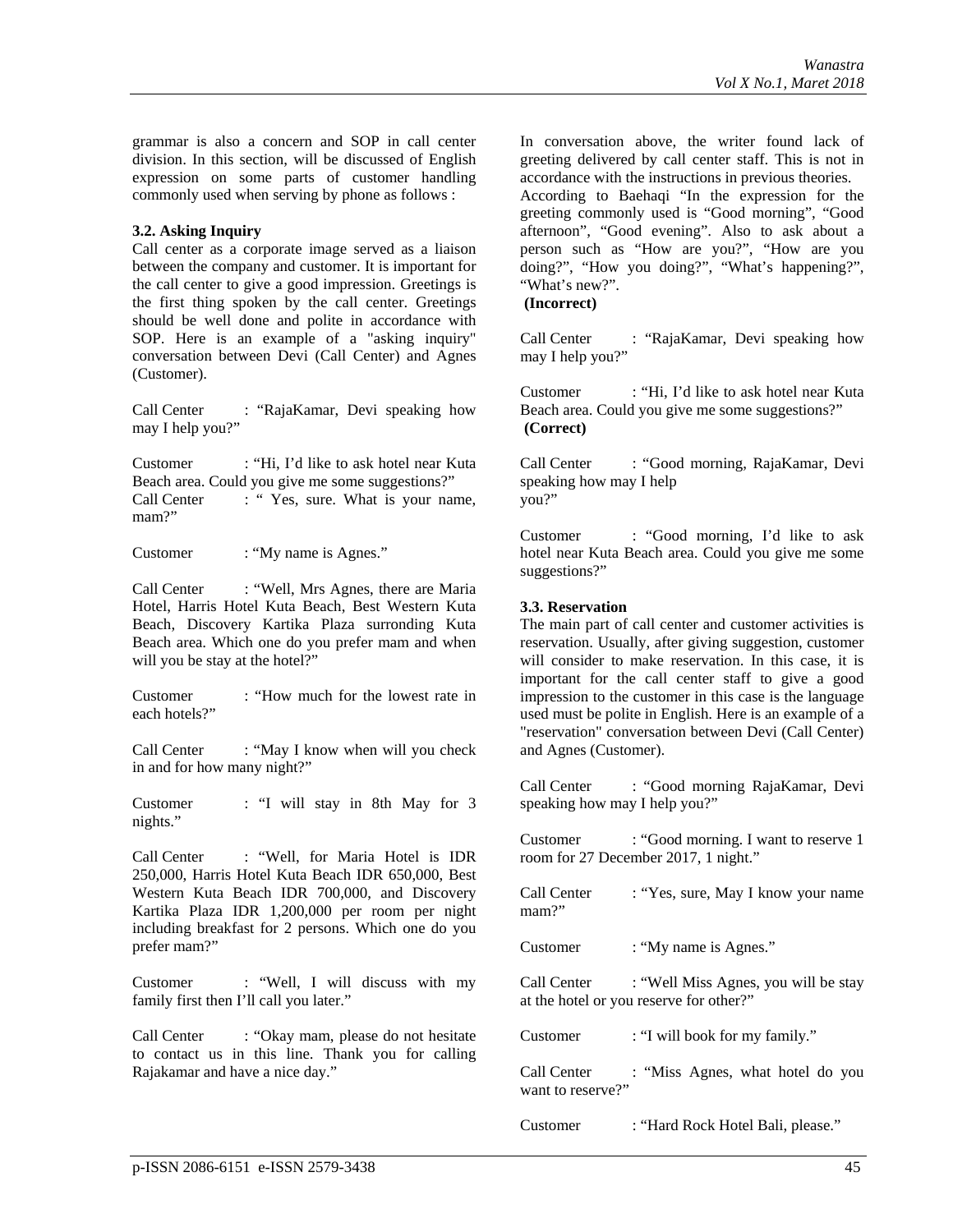grammar is also a concern and SOP in call center division. In this section, will be discussed of English expression on some parts of customer handling commonly used when serving by phone as follows :

## **3.2. Asking Inquiry**

Call center as a corporate image served as a liaison between the company and customer. It is important for the call center to give a good impression. Greetings is the first thing spoken by the call center. Greetings should be well done and polite in accordance with SOP. Here is an example of a "asking inquiry" conversation between Devi (Call Center) and Agnes (Customer).

Call Center : "RajaKamar, Devi speaking how may I help you?"

Customer : "Hi, I'd like to ask hotel near Kuta Beach area. Could you give me some suggestions?"<br>Call Center : "Yes. sure. What is your nar : " Yes, sure. What is your name, mam?"

Customer : "My name is Agnes."

Call Center : "Well, Mrs Agnes, there are Maria Hotel, Harris Hotel Kuta Beach, Best Western Kuta Beach, Discovery Kartika Plaza surronding Kuta Beach area. Which one do you prefer mam and when will you be stay at the hotel?"

Customer : "How much for the lowest rate in each hotels?"

Call Center : "May I know when will you check in and for how many night?"

Customer : "I will stay in 8th May for 3 nights."

Call Center : "Well, for Maria Hotel is IDR 250,000, Harris Hotel Kuta Beach IDR 650,000, Best Western Kuta Beach IDR 700,000, and Discovery Kartika Plaza IDR 1,200,000 per room per night including breakfast for 2 persons. Which one do you prefer mam?"

Customer : "Well, I will discuss with my family first then I'll call you later."

Call Center : "Okay mam, please do not hesitate to contact us in this line. Thank you for calling Rajakamar and have a nice day."

In conversation above, the writer found lack of greeting delivered by call center staff. This is not in accordance with the instructions in previous theories. According to Baehaqi "In the expression for the greeting commonly used is "Good morning", "Good afternoon", "Good evening". Also to ask about a person such as "How are you?", "How are you doing?", "How you doing?", "What's happening?", "What's new?".

**(Incorrect)**

Call Center : "RajaKamar, Devi speaking how may I help you?"

Customer : "Hi, I'd like to ask hotel near Kuta Beach area. Could you give me some suggestions?" **(Correct)**

Call Center : "Good morning, RajaKamar, Devi speaking how may I help you?"

Customer : "Good morning, I'd like to ask hotel near Kuta Beach area. Could you give me some suggestions?"

## **3.3. Reservation**

The main part of call center and customer activities is reservation. Usually, after giving suggestion, customer will consider to make reservation. In this case, it is important for the call center staff to give a good impression to the customer in this case is the language used must be polite in English. Here is an example of a "reservation" conversation between Devi (Call Center) and Agnes (Customer).

Call Center : "Good morning RajaKamar, Devi speaking how may I help you?"

Customer : "Good morning. I want to reserve 1 room for 27 December 2017, 1 night."

| Call Center<br>$mam$ ?"          | : "Yes, sure, May I know your name                                              |
|----------------------------------|---------------------------------------------------------------------------------|
| Customer                         | : "My name is Agnes."                                                           |
| Call Center                      | : "Well Miss Agnes, you will be stay<br>at the hotel or you reserve for other?" |
| Customer                         | : "I will book for my family."                                                  |
| Call Center<br>want to reserve?" | : "Miss Agnes, what hotel do you                                                |

Customer : "Hard Rock Hotel Bali, please."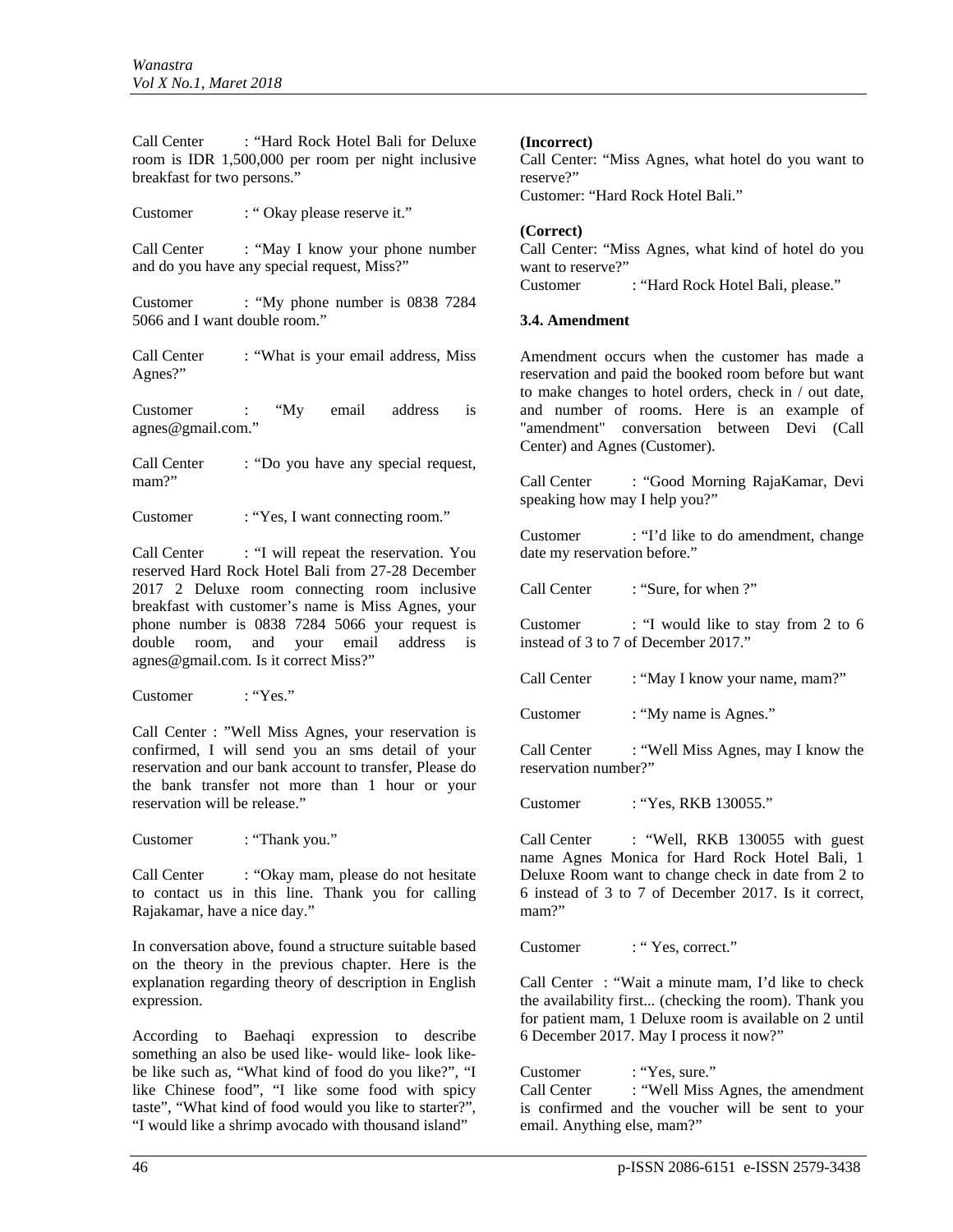Call Center : "Hard Rock Hotel Bali for Deluxe room is IDR 1,500,000 per room per night inclusive breakfast for two persons."

Customer : " Okay please reserve it."

Call Center : "May I know your phone number and do you have any special request, Miss?"

Customer : "My phone number is 0838 7284 5066 and I want double room."

Call Center : "What is your email address, Miss Agnes?"

Customer : "My email address is agnes@gmail.com."

Call Center : "Do you have any special request, mam?"

Customer : "Yes, I want connecting room."

Call Center : "I will repeat the reservation. You reserved Hard Rock Hotel Bali from 27-28 December 2017 2 Deluxe room connecting room inclusive breakfast with customer's name is Miss Agnes, your phone number is 0838 7284 5066 your request is double room, and your email address is agnes@gmail.com. Is it correct Miss?"

Customer : "Yes."

Call Center : "Well Miss Agnes, your reservation is confirmed, I will send you an sms detail of your reservation and our bank account to transfer, Please do the bank transfer not more than 1 hour or your reservation will be release."

Customer : "Thank you."

Call Center : "Okay mam, please do not hesitate" to contact us in this line. Thank you for calling Rajakamar, have a nice day."

In conversation above, found a structure suitable based on the theory in the previous chapter. Here is the explanation regarding theory of description in English expression.

According to Baehaqi expression to describe something an also be used like- would like- look likebe like such as, "What kind of food do you like?", "I like Chinese food", "I like some food with spicy taste", "What kind of food would you like to starter?", "I would like a shrimp avocado with thousand island"

## **(Incorrect)**

Call Center: "Miss Agnes, what hotel do you want to reserve?"

Customer: "Hard Rock Hotel Bali."

## **(Correct)**

Call Center: "Miss Agnes, what kind of hotel do you want to reserve?" Customer : "Hard Rock Hotel Bali, please."

#### **3.4. Amendment**

Amendment occurs when the customer has made a reservation and paid the booked room before but want to make changes to hotel orders, check in / out date, and number of rooms. Here is an example of "amendment" conversation between Devi (Call Center) and Agnes (Customer).

Call Center : "Good Morning RajaKamar, Devi speaking how may I help you?"

Customer : "I'd like to do amendment, change date my reservation before."

Call Center : "Sure, for when ?"

Customer : "I would like to stay from 2 to 6 instead of 3 to 7 of December 2017."

Call Center : "May I know your name, mam?"

Customer : "My name is Agnes."

Call Center : "Well Miss Agnes, may I know the reservation number?"

Customer : "Yes, RKB 130055."

Call Center : "Well, RKB 130055 with guest name Agnes Monica for Hard Rock Hotel Bali, 1 Deluxe Room want to change check in date from 2 to 6 instead of 3 to 7 of December 2017. Is it correct, mam?"

Customer : "Yes, correct."

Call Center : "Wait a minute mam, I'd like to check the availability first... (checking the room). Thank you for patient mam, 1 Deluxe room is available on 2 until 6 December 2017. May I process it now?"

Customer : "Yes, sure." Call Center : "Well Miss Agnes, the amendment is confirmed and the voucher will be sent to your email. Anything else, mam?"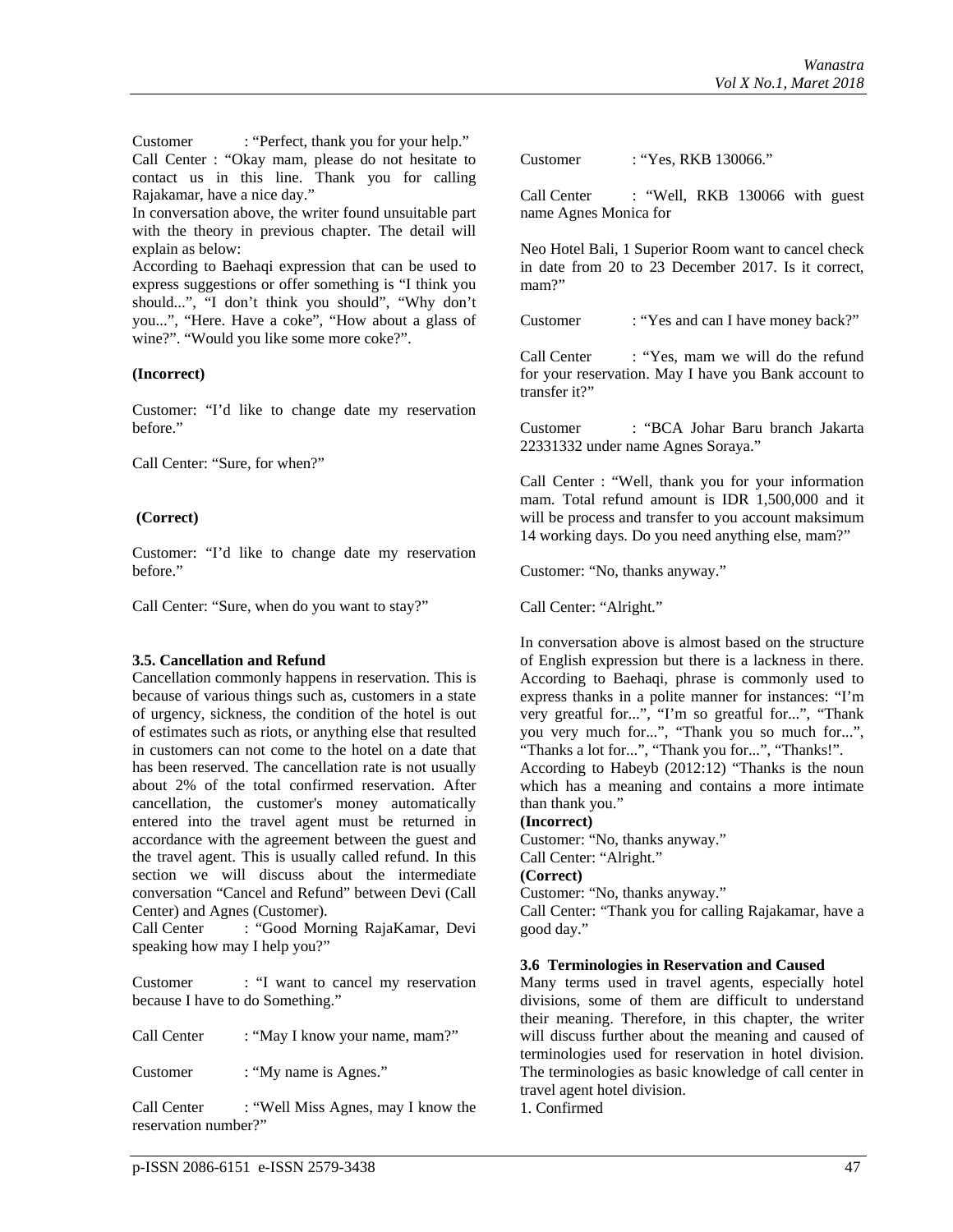Customer : "Perfect, thank you for your help." Call Center : "Okay mam, please do not hesitate to contact us in this line. Thank you for calling Rajakamar, have a nice day."

In conversation above, the writer found unsuitable part with the theory in previous chapter. The detail will explain as below:

According to Baehaqi expression that can be used to express suggestions or offer something is "I think you should...", "I don't think you should", "Why don't you...", "Here. Have a coke", "How about a glass of wine?". "Would you like some more coke?".

#### **(Incorrect)**

Customer: "I'd like to change date my reservation before."

Call Center: "Sure, for when?"

## **(Correct)**

Customer: "I'd like to change date my reservation before."

Call Center: "Sure, when do you want to stay?"

#### **3.5. Cancellation and Refund**

Cancellation commonly happens in reservation. This is because of various things such as, customers in a state of urgency, sickness, the condition of the hotel is out of estimates such as riots, or anything else that resulted in customers can not come to the hotel on a date that has been reserved. The cancellation rate is not usually about 2% of the total confirmed reservation. After cancellation, the customer's money automatically entered into the travel agent must be returned in accordance with the agreement between the guest and the travel agent. This is usually called refund. In this section we will discuss about the intermediate conversation "Cancel and Refund" between Devi (Call Center) and Agnes (Customer).

Call Center : "Good Morning RajaKamar, Devi speaking how may I help you?"

Customer : "I want to cancel my reservation because I have to do Something."

Call Center : "May I know your name, mam?"

Customer : "My name is Agnes."

Call Center : "Well Miss Agnes, may I know the reservation number?"

Call Center : "Well, RKB 130066 with guest name Agnes Monica for

Neo Hotel Bali, 1 Superior Room want to cancel check in date from 20 to 23 December 2017. Is it correct, mam?"

Customer : "Yes and can I have money back?"

Call Center : "Yes, mam we will do the refund for your reservation. May I have you Bank account to transfer it?"

Customer : "BCA Johar Baru branch Jakarta 22331332 under name Agnes Soraya."

Call Center : "Well, thank you for your information mam. Total refund amount is IDR 1,500,000 and it will be process and transfer to you account maksimum 14 working days. Do you need anything else, mam?"

Customer: "No, thanks anyway."

Call Center: "Alright."

In conversation above is almost based on the structure of English expression but there is a lackness in there. According to Baehaqi, phrase is commonly used to express thanks in a polite manner for instances: "I'm very greatful for...", "I'm so greatful for...", "Thank you very much for...", "Thank you so much for...", "Thanks a lot for...", "Thank you for...", "Thanks!".

According to Habeyb (2012:12) "Thanks is the noun which has a meaning and contains a more intimate than thank you."

#### **(Incorrect)**

Customer: "No, thanks anyway." Call Center: "Alright." **(Correct)**

Customer: "No, thanks anyway."

Call Center: "Thank you for calling Rajakamar, have a good day."

#### **3.6 Terminologies in Reservation and Caused**

Many terms used in travel agents, especially hotel divisions, some of them are difficult to understand their meaning. Therefore, in this chapter, the writer will discuss further about the meaning and caused of terminologies used for reservation in hotel division. The terminologies as basic knowledge of call center in travel agent hotel division.

1. Confirmed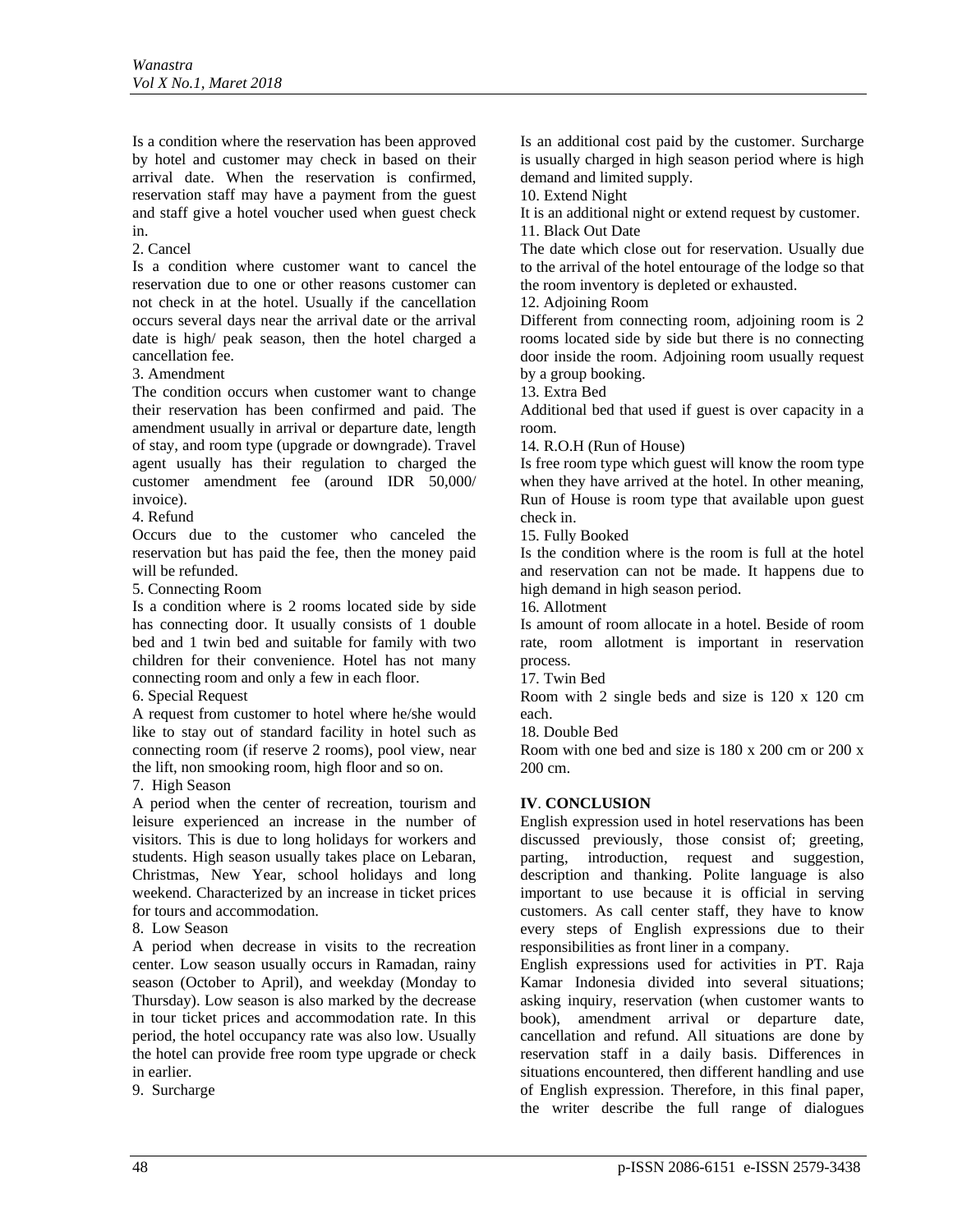Is a condition where the reservation has been approved by hotel and customer may check in based on their arrival date. When the reservation is confirmed, reservation staff may have a payment from the guest and staff give a hotel voucher used when guest check in.

2. Cancel

Is a condition where customer want to cancel the reservation due to one or other reasons customer can not check in at the hotel. Usually if the cancellation occurs several days near the arrival date or the arrival date is high/ peak season, then the hotel charged a cancellation fee.

3. Amendment

The condition occurs when customer want to change their reservation has been confirmed and paid. The amendment usually in arrival or departure date, length of stay, and room type (upgrade or downgrade). Travel agent usually has their regulation to charged the customer amendment fee (around IDR 50,000/ invoice).

4. Refund

Occurs due to the customer who canceled the reservation but has paid the fee, then the money paid will be refunded.

5. Connecting Room

Is a condition where is 2 rooms located side by side has connecting door. It usually consists of 1 double bed and 1 twin bed and suitable for family with two children for their convenience. Hotel has not many connecting room and only a few in each floor.

6. Special Request

A request from customer to hotel where he/she would like to stay out of standard facility in hotel such as connecting room (if reserve 2 rooms), pool view, near the lift, non smooking room, high floor and so on.

7. High Season

A period when the center of recreation, tourism and leisure experienced an increase in the number of visitors. This is due to long holidays for workers and students. High season usually takes place on Lebaran, Christmas, New Year, school holidays and long weekend. Characterized by an increase in ticket prices for tours and accommodation.

8. Low Season

A period when decrease in visits to the recreation center. Low season usually occurs in Ramadan, rainy season (October to April), and weekday (Monday to Thursday). Low season is also marked by the decrease in tour ticket prices and accommodation rate. In this period, the hotel occupancy rate was also low. Usually the hotel can provide free room type upgrade or check in earlier.

9. Surcharge

Is an additional cost paid by the customer. Surcharge is usually charged in high season period where is high demand and limited supply.

10. Extend Night

It is an additional night or extend request by customer. 11. Black Out Date

The date which close out for reservation. Usually due to the arrival of the hotel entourage of the lodge so that the room inventory is depleted or exhausted.

12. Adjoining Room

Different from connecting room, adjoining room is 2 rooms located side by side but there is no connecting door inside the room. Adjoining room usually request by a group booking.

13. Extra Bed

Additional bed that used if guest is over capacity in a room.

14. R.O.H (Run of House)

Is free room type which guest will know the room type when they have arrived at the hotel. In other meaning, Run of House is room type that available upon guest check in.

15. Fully Booked

Is the condition where is the room is full at the hotel and reservation can not be made. It happens due to high demand in high season period.

16. Allotment

Is amount of room allocate in a hotel. Beside of room rate, room allotment is important in reservation process.

17. Twin Bed

Room with 2 single beds and size is 120 x 120 cm each.

18. Double Bed

Room with one bed and size is 180 x 200 cm or 200 x 200 cm.

# **IV**. **CONCLUSION**

English expression used in hotel reservations has been discussed previously, those consist of; greeting, parting, introduction, request and suggestion, description and thanking. Polite language is also important to use because it is official in serving customers. As call center staff, they have to know every steps of English expressions due to their responsibilities as front liner in a company.

English expressions used for activities in PT. Raja Kamar Indonesia divided into several situations; asking inquiry, reservation (when customer wants to book), amendment arrival or departure date, cancellation and refund. All situations are done by reservation staff in a daily basis. Differences in situations encountered, then different handling and use of English expression. Therefore, in this final paper, the writer describe the full range of dialogues